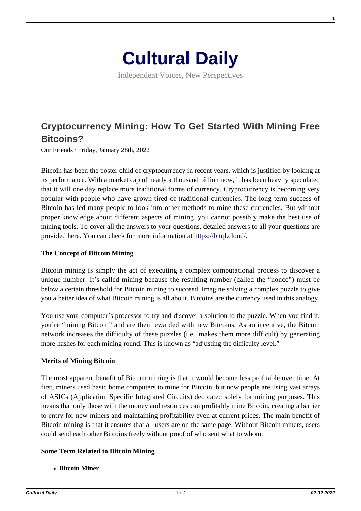

Independent Voices, New Perspectives

# **[Cryptocurrency Mining: How To Get Started With Mining Free](https://culturaldaily.com/cryptocurrency-mining-how-to-get-started-with-mining-free-bitcoins/) [Bitcoins?](https://culturaldaily.com/cryptocurrency-mining-how-to-get-started-with-mining-free-bitcoins/)**

Our Friends · Friday, January 28th, 2022

Bitcoin has been the poster child of cryptocurrency in recent years, which is justified by looking at its performance. With a market cap of nearly a thousand billion now, it has been heavily speculated that it will one day replace more traditional forms of currency. Cryptocurrency is becoming very popular with people who have grown tired of traditional currencies. The long-term success of Bitcoin has led many people to look into other methods to mine these currencies. But without proper knowledge about different aspects of mining, you cannot possibly make the best use of mining tools. To cover all the answers to your questions, detailed answers to all your questions are provided here. You can check for more information at<https://bitql.cloud/>.

#### **The Concept of Bitcoin Mining**

Bitcoin mining is simply the act of executing a complex computational process to discover a unique number. It's called mining because the resulting number (called the "nonce") must be below a certain threshold for Bitcoin mining to succeed. Imagine solving a complex puzzle to give you a better idea of what Bitcoin mining is all about. Bitcoins are the currency used in this analogy.

You use your computer's processor to try and discover a solution to the puzzle. When you find it, you're "mining Bitcoin" and are then rewarded with new Bitcoins. As an incentive, the Bitcoin network increases the difficulty of these puzzles (i.e., makes them more difficult) by generating more hashes for each mining round. This is known as "adjusting the difficulty level."

#### **Merits of Mining Bitcoin**

The most apparent benefit of Bitcoin mining is that it would become less profitable over time. At first, miners used basic home computers to mine for Bitcoin, but now people are using vast arrays of ASICs (Application Specific Integrated Circuits) dedicated solely for mining purposes. This means that only those with the money and resources can profitably mine Bitcoin, creating a barrier to entry for new miners and maintaining profitability even at current prices. The main benefit of Bitcoin mining is that it ensures that all users are on the same page. Without Bitcoin miners, users could send each other Bitcoins freely without proof of who sent what to whom.

#### **Some Term Related to Bitcoin Mining**

**Bitcoin Miner**

**1**